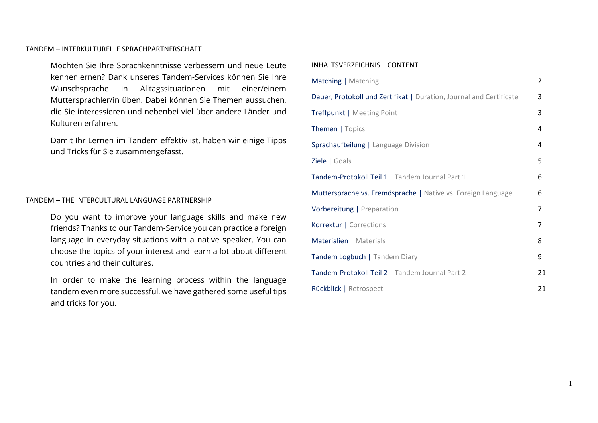#### TANDEM – INTERKULTURELLE SPRACHPARTNERSCHAFT

Möchten Sie Ihre Sprachkenntnisse verbessern und neue Leute kennenlernen? Dank unseres Tandem-Services können Sie Ihre Wunschsprache in Alltagssituationen mit einer/einem Muttersprachler/in üben. Dabei können Sie Themen aussuchen, die Sie interessieren und nebenbei viel über andere Länder und Kulturen erfahren.

Damit Ihr Lernen im Tandem effektiv ist, haben wir einige Tipps und Tricks für Sie zusammengefasst.

### TANDEM – THE INTERCULTURAL LANGUAGE PARTNERSHIP

Do you want to improve your language skills and make new friends? Thanks to our Tandem-Service you can practice a foreign language in everyday situations with a native speaker. You can choose the topics of your interest and learn a lot about different countries and their cultures.

In order to make the learning process within the language tandem even more successful, we have gathered some useful tips and tricks for you.

### INHALTSVERZEICHNIS | CONTENT

| Matching   Matching                                                 |   |  |
|---------------------------------------------------------------------|---|--|
| Dauer, Protokoll und Zertifikat   Duration, Journal and Certificate |   |  |
| Treffpunkt   Meeting Point                                          |   |  |
| Themen   Topics                                                     | 4 |  |
| Sprachaufteilung   Language Division                                |   |  |
| Ziele   Goals                                                       |   |  |
| Tandem-Protokoll Teil 1   Tandem Journal Part 1                     |   |  |
| Muttersprache vs. Fremdsprache   Native vs. Foreign Language        |   |  |
| Vorbereitung   Preparation                                          |   |  |
| Korrektur   Corrections                                             |   |  |
| Materialien   Materials                                             |   |  |
| Tandem Logbuch   Tandem Diary                                       |   |  |
| Tandem-Protokoll Teil 2   Tandem Journal Part 2                     |   |  |
| Rückblick   Retrospect                                              |   |  |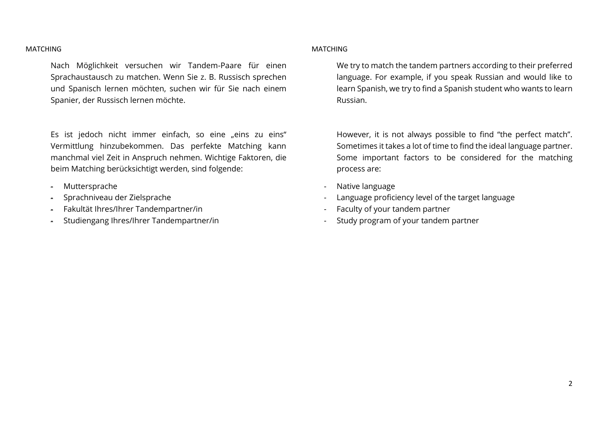#### MATCHING

Nach Möglichkeit versuchen wir Tandem-Paare für einen Sprachaustausch zu matchen. Wenn Sie z. B. Russisch sprechen und Spanisch lernen möchten, suchen wir für Sie nach einem Spanier, der Russisch lernen möchte.

Es ist jedoch nicht immer einfach, so eine "eins zu eins" Vermittlung hinzubekommen. Das perfekte Matching kann manchmal viel Zeit in Anspruch nehmen. Wichtige Faktoren, die beim Matching berücksichtigt werden, sind folgende:

- Muttersprache
- Sprachniveau der Zielsprache
- Fakultät Ihres/Ihrer Tandempartner/in
- Studiengang Ihres/Ihrer Tandempartner/in

### **MATCHING**

We try to match the tandem partners according to their preferred language. For example, if you speak Russian and would like to learn Spanish, we try to find a Spanish student who wants to learn Russian.

However, it is not always possible to find "the perfect match". Sometimes it takes a lot of time to find the ideal language partner. Some important factors to be considered for the matching process are:

- Native language
- Language proficiency level of the target language
- Faculty of your tandem partner
- Study program of your tandem partner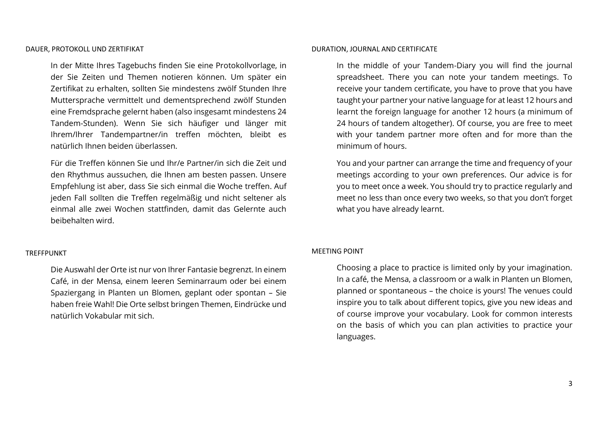In der Mitte Ihres Tagebuchs finden Sie eine Protokollvorlage, in der Sie Zeiten und Themen notieren können. Um später ein Zertifikat zu erhalten, sollten Sie mindestens zwölf Stunden Ihre Muttersprache vermittelt und dementsprechend zwölf Stunden eine Fremdsprache gelernt haben (also insgesamt mindestens 24 Tandem-Stunden). Wenn Sie sich häufiger und länger mit Ihrem/Ihrer Tandempartner/in treffen möchten, bleibt es natürlich Ihnen beiden überlassen.

Für die Treffen können Sie und Ihr/e Partner/in sich die Zeit und den Rhythmus aussuchen, die Ihnen am besten passen. Unsere Empfehlung ist aber, dass Sie sich einmal die Woche treffen. Auf jeden Fall sollten die Treffen regelmäßig und nicht seltener als einmal alle zwei Wochen stattfinden, damit das Gelernte auch beibehalten wird.

### DURATION, JOURNAL AND CERTIFICATE

In the middle of your Tandem-Diary you will find the journal spreadsheet. There you can note your tandem meetings. To receive your tandem certificate, you have to prove that you have taught your partner your native language for at least 12 hours and learnt the foreign language for another 12 hours (a minimum of 24 hours of tandem altogether). Of course, you are free to meet with your tandem partner more often and for more than the minimum of hours.

You and your partner can arrange the time and frequency of your meetings according to your own preferences. Our advice is for you to meet once a week. You should try to practice regularly and meet no less than once every two weeks, so that you don't forget what you have already learnt.

### TREFFPUNKT

Die Auswahl der Orte ist nur von Ihrer Fantasie begrenzt. In einem Café, in der Mensa, einem leeren Seminarraum oder bei einem Spaziergang in Planten un Blomen, geplant oder spontan – Sie haben freie Wahl! Die Orte selbst bringen Themen, Eindrücke und natürlich Vokabular mit sich.

#### MEETING POINT

Choosing a place to practice is limited only by your imagination. In a café, the Mensa, a classroom or a walk in Planten un Blomen, planned or spontaneous – the choice is yours! The venues could inspire you to talk about different topics, give you new ideas and of course improve your vocabulary. Look for common interests on the basis of which you can plan activities to practice your languages.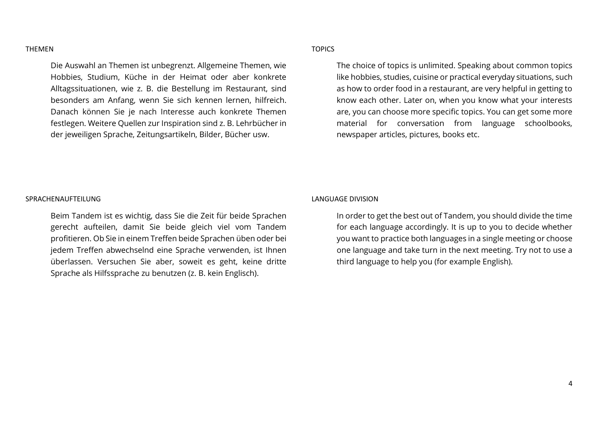#### THEMEN

Die Auswahl an Themen ist unbegrenzt. Allgemeine Themen, wie Hobbies, Studium, Küche in der Heimat oder aber konkrete Alltagssituationen, wie z. B. die Bestellung im Restaurant, sind besonders am Anfang, wenn Sie sich kennen lernen, hilfreich. Danach können Sie je nach Interesse auch konkrete Themen festlegen. Weitere Quellen zur Inspiration sind z. B. Lehrbücher in der jeweiligen Sprache, Zeitungsartikeln, Bilder, Bücher usw.

### TOPICS

The choice of topics is unlimited. Speaking about common topics like hobbies, studies, cuisine or practical everyday situations, such as how to order food in a restaurant, are very helpful in getting to know each other. Later on, when you know what your interests are, you can choose more specific topics. You can get some more material for conversation from language schoolbooks, newspaper articles, pictures, books etc.

#### SPRACHENAUFTEILUNG

Beim Tandem ist es wichtig, dass Sie die Zeit für beide Sprachen gerecht aufteilen, damit Sie beide gleich viel vom Tandem profitieren. Ob Sie in einem Treffen beide Sprachen üben oder bei jedem Treffen abwechselnd eine Sprache verwenden, ist Ihnen überlassen. Versuchen Sie aber, soweit es geht, keine dritte Sprache als Hilfssprache zu benutzen (z. B. kein Englisch).

#### LANGUAGE DIVISION

In order to get the best out of Tandem, you should divide the time for each language accordingly. It is up to you to decide whether you want to practice both languages in a single meeting or choose one language and take turn in the next meeting. Try not to use a third language to help you (for example English).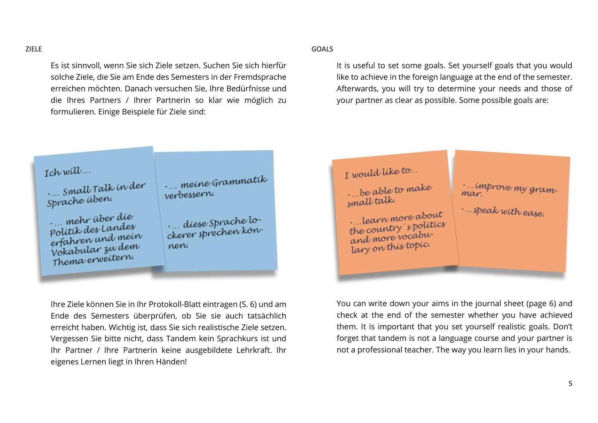ZIELE

Es ist sinnvoll, wenn Sie sich Ziele setzen. Suchen Sie sich hierfür solche Ziele, die Sie am Ende des Semesters in der Fremdsprache erreichen möchten. Danach versuchen Sie, Ihre Bedürfnisse und die Ihres Partners / Ihrer Partnerin so klar wie möglich zu formulieren. Einige Beispiele für Ziele sind:

GOALS

It is useful to set some goals. Set yourself goals that you would like to achieve in the foreign language at the end of the semester. Afterwards, you will try to determine your needs and those of your partner as clear as possible. Some possible goals are:

| Ich will<br>Small Talk in der<br>Sprache üben.<br>mehr über die<br>Politik des Landes<br>erfahren und mein<br>Vokabular zu dem<br>Thema erweitern. | meine Grammatik<br>verbessern.<br>diese Sprache lo-<br>ckerer sprechen kön-<br>nen. | I would like to<br>be able to make<br>small talk.<br>learn more about<br>the country spolitics<br>and more vocabu-<br>lary on this topic. | improve my gram-<br>mar.<br>speak with ease. |
|----------------------------------------------------------------------------------------------------------------------------------------------------|-------------------------------------------------------------------------------------|-------------------------------------------------------------------------------------------------------------------------------------------|----------------------------------------------|
|                                                                                                                                                    |                                                                                     |                                                                                                                                           |                                              |

Ihre Ziele können Sie in Ihr Protokoll-Blatt eintragen (S. 6) und am Ende des Semesters überprüfen, ob Sie sie auch tatsächlich erreicht haben. Wichtig ist, dass Sie sich realistische Ziele setzen. Vergessen Sie bitte nicht, dass Tandem kein Sprachkurs ist und Ihr Partner / Ihre Partnerin keine ausgebildete Lehrkraft. Ihr eigenes Lernen liegt in Ihren Händen!

You can write down your aims in the journal sheet (page 6) and check at the end of the semester whether you have achieved them. It is important that you set yourself realistic goals. Don't forget that tandem is not a language course and your partner is not a professional teacher. The way you learn lies in your hands.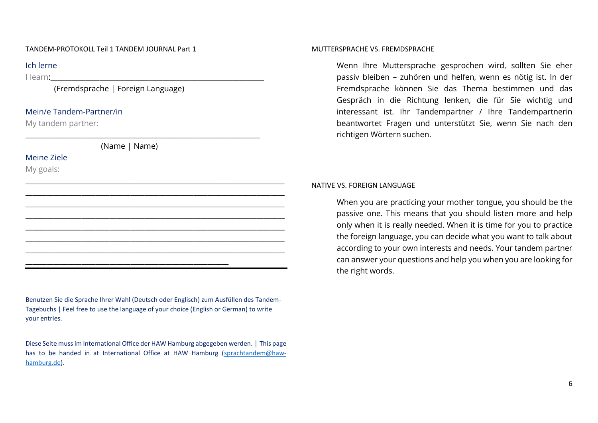### TANDEM-PROTOKOLL Teil 1 TANDEM JOURNAL Part 1

### Ich lerne

I learn:

(Fremdsprache | Foreign Language)

# Mein/e Tandem-Partner/in

My tandem partner:

(Name | Name)

\_\_\_\_\_\_\_\_\_\_\_\_\_\_\_\_\_\_\_\_\_\_\_\_\_\_\_\_\_\_\_\_\_\_\_\_\_\_\_\_\_\_\_\_\_\_\_\_\_\_\_\_\_\_\_\_\_\_

\_\_\_\_\_\_\_\_\_\_\_\_\_\_\_\_\_\_\_\_\_\_\_\_\_\_\_\_\_\_\_\_\_\_\_\_\_\_\_\_\_\_\_\_\_\_\_\_\_\_\_\_\_\_\_\_\_\_\_\_\_\_\_\_\_\_\_

\_\_\_\_\_\_\_\_\_\_\_\_\_\_\_\_\_\_\_\_\_\_\_\_\_\_\_\_\_\_\_\_\_\_\_\_\_\_\_\_\_\_\_\_\_\_\_\_\_\_\_\_\_\_\_\_\_\_\_\_\_\_\_\_\_\_\_\_\_\_\_\_\_\_ \_\_\_\_\_\_\_\_\_\_\_\_\_\_\_\_\_\_\_\_\_\_\_\_\_\_\_\_\_\_\_\_\_\_\_\_\_\_\_\_\_\_\_\_\_\_\_\_\_\_\_\_\_\_\_\_\_\_\_\_\_\_\_\_\_\_\_\_\_\_\_\_\_\_ \_\_\_\_\_\_\_\_\_\_\_\_\_\_\_\_\_\_\_\_\_\_\_\_\_\_\_\_\_\_\_\_\_\_\_\_\_\_\_\_\_\_\_\_\_\_\_\_\_\_\_\_\_\_\_\_\_\_\_\_\_\_\_\_\_\_\_\_\_\_\_\_\_\_ \_\_\_\_\_\_\_\_\_\_\_\_\_\_\_\_\_\_\_\_\_\_\_\_\_\_\_\_\_\_\_\_\_\_\_\_\_\_\_\_\_\_\_\_\_\_\_\_\_\_\_\_\_\_\_\_\_\_\_\_\_\_\_\_\_\_\_\_\_\_\_\_\_\_ \_\_\_\_\_\_\_\_\_\_\_\_\_\_\_\_\_\_\_\_\_\_\_\_\_\_\_\_\_\_\_\_\_\_\_\_\_\_\_\_\_\_\_\_\_\_\_\_\_\_\_\_\_\_\_\_\_\_\_\_\_\_\_\_\_\_\_\_\_\_\_\_\_\_ \_\_\_\_\_\_\_\_\_\_\_\_\_\_\_\_\_\_\_\_\_\_\_\_\_\_\_\_\_\_\_\_\_\_\_\_\_\_\_\_\_\_\_\_\_\_\_\_\_\_\_\_\_\_\_\_\_\_\_\_\_\_\_\_\_\_\_\_\_\_\_\_\_\_ \_\_\_\_\_\_\_\_\_\_\_\_\_\_\_\_\_\_\_\_\_\_\_\_\_\_\_\_\_\_\_\_\_\_\_\_\_\_\_\_\_\_\_\_\_\_\_\_\_\_\_\_\_\_\_\_\_\_\_\_\_\_\_\_\_\_\_\_\_\_\_\_\_\_

# Meine Ziele

My goals:



Diese Seite muss im International Office der HAW Hamburg abgegeben werden. | This page has to be handed in at International Office at HAW Hamburg [\(sprachtandem@haw](mailto:sprachtandem@haw-hamburg.de)[hamburg.de\)](mailto:sprachtandem@haw-hamburg.de).

#### MUTTERSPRACHE VS. FREMDSPRACHE

Wenn Ihre Muttersprache gesprochen wird, sollten Sie eher passiv bleiben – zuhören und helfen, wenn es nötig ist. In der Fremdsprache können Sie das Thema bestimmen und das Gespräch in die Richtung lenken, die für Sie wichtig und interessant ist. Ihr Tandempartner / Ihre Tandempartnerin beantwortet Fragen und unterstützt Sie, wenn Sie nach den richtigen Wörtern suchen.

### NATIVE VS. FOREIGN LANGUAGE

When you are practicing your mother tongue, you should be the passive one. This means that you should listen more and help only when it is really needed. When it is time for you to practice the foreign language, you can decide what you want to talk about according to your own interests and needs. Your tandem partner can answer your questions and help you when you are looking for the right words.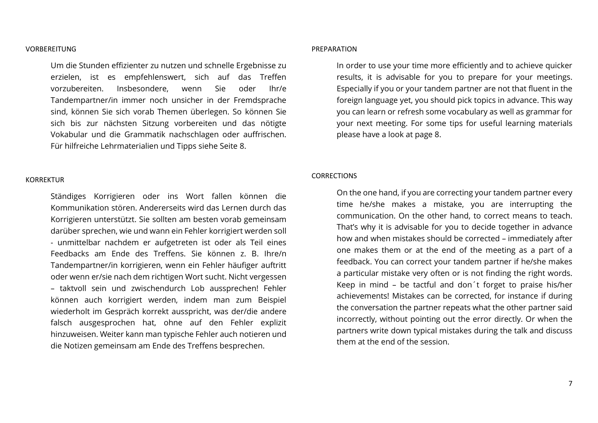#### **VORBEREITUNG**

Um die Stunden effizienter zu nutzen und schnelle Ergebnisse zu erzielen, ist es empfehlenswert, sich auf das Treffen vorzubereiten. Insbesondere, wenn Sie oder Ihr/e Tandempartner/in immer noch unsicher in der Fremdsprache sind, können Sie sich vorab Themen überlegen. So können Sie sich bis zur nächsten Sitzung vorbereiten und das nötigte Vokabular und die Grammatik nachschlagen oder auffrischen. Für hilfreiche Lehrmaterialien und Tipps siehe Seite 8.

#### KORREKTUR

Ständiges Korrigieren oder ins Wort fallen können die Kommunikation stören. Andererseits wird das Lernen durch das Korrigieren unterstützt. Sie sollten am besten vorab gemeinsam darüber sprechen, wie und wann ein Fehler korrigiert werden soll - unmittelbar nachdem er aufgetreten ist oder als Teil eines Feedbacks am Ende des Treffens. Sie können z. B. Ihre/n Tandempartner/in korrigieren, wenn ein Fehler häufiger auftritt oder wenn er/sie nach dem richtigen Wort sucht. Nicht vergessen – taktvoll sein und zwischendurch Lob aussprechen! Fehler können auch korrigiert werden, indem man zum Beispiel wiederholt im Gespräch korrekt ausspricht, was der/die andere falsch ausgesprochen hat, ohne auf den Fehler explizit hinzuweisen. Weiter kann man typische Fehler auch notieren und die Notizen gemeinsam am Ende des Treffens besprechen.

#### PREPARATION

In order to use your time more efficiently and to achieve quicker results, it is advisable for you to prepare for your meetings. Especially if you or your tandem partner are not that fluent in the foreign language yet, you should pick topics in advance. This way you can learn or refresh some vocabulary as well as grammar for your next meeting. For some tips for useful learning materials please have a look at page 8.

### **CORRECTIONS**

On the one hand, if you are correcting your tandem partner every time he/she makes a mistake, you are interrupting the communication. On the other hand, to correct means to teach. That's why it is advisable for you to decide together in advance how and when mistakes should be corrected – immediately after one makes them or at the end of the meeting as a part of a feedback. You can correct your tandem partner if he/she makes a particular mistake very often or is not finding the right words. Keep in mind – be tactful and don´t forget to praise his/her achievements! Mistakes can be corrected, for instance if during the conversation the partner repeats what the other partner said incorrectly, without pointing out the error directly. Or when the partners write down typical mistakes during the talk and discuss them at the end of the session.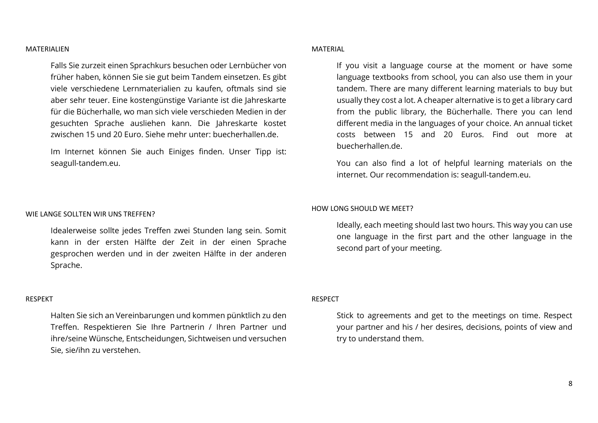#### MATERIALIEN

Falls Sie zurzeit einen Sprachkurs besuchen oder Lernbücher von früher haben, können Sie sie gut beim Tandem einsetzen. Es gibt viele verschiedene Lernmaterialien zu kaufen, oftmals sind sie aber sehr teuer. Eine kostengünstige Variante ist die Jahreskarte für die Bücherhalle, wo man sich viele verschieden Medien in der gesuchten Sprache ausliehen kann. Die Jahreskarte kostet zwischen 15 und 20 Euro. Siehe mehr unter: buecherhallen.de.

Im Internet können Sie auch Einiges finden. Unser Tipp ist: seagull-tandem.eu.

#### WIE LANGE SOLLTEN WIR LINS TREFFEN?

Idealerweise sollte jedes Treffen zwei Stunden lang sein. Somit kann in der ersten Hälfte der Zeit in der einen Sprache gesprochen werden und in der zweiten Hälfte in der anderen Sprache.

### RESPEKT

Halten Sie sich an Vereinbarungen und kommen pünktlich zu den Treffen. Respektieren Sie Ihre Partnerin / Ihren Partner und ihre/seine Wünsche, Entscheidungen, Sichtweisen und versuchen Sie, sie/ihn zu verstehen.

### MATERIAL

If you visit a language course at the moment or have some language textbooks from school, you can also use them in your tandem. There are many different learning materials to buy but usually they cost a lot. A cheaper alternative is to get a library card from the public library, the Bücherhalle. There you can lend different media in the languages of your choice. An annual ticket costs between 15 and 20 Euros. Find out more at buecherhallen.de.

You can also find a lot of helpful learning materials on the internet. Our recommendation is: seagull-tandem.eu.

#### HOW LONG SHOULD WE MEET?

Ideally, each meeting should last two hours. This way you can use one language in the first part and the other language in the second part of your meeting.

### RESPECT

Stick to agreements and get to the meetings on time. Respect your partner and his / her desires, decisions, points of view and try to understand them.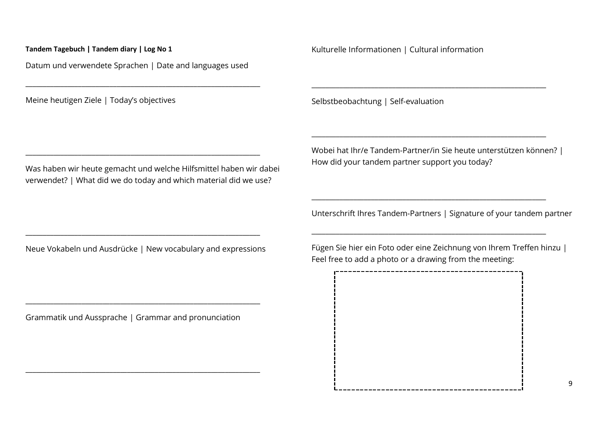Datum und verwendete Sprachen | Date and languages used

\_\_\_\_\_\_\_\_\_\_\_\_\_\_\_\_\_\_\_\_\_\_\_\_\_\_\_\_\_\_\_\_\_\_\_\_\_\_\_\_\_\_\_\_\_\_\_\_\_\_\_\_\_\_\_\_\_\_\_\_\_\_\_\_\_\_\_

\_\_\_\_\_\_\_\_\_\_\_\_\_\_\_\_\_\_\_\_\_\_\_\_\_\_\_\_\_\_\_\_\_\_\_\_\_\_\_\_\_\_\_\_\_\_\_\_\_\_\_\_\_\_\_\_\_\_\_\_\_\_\_\_\_\_\_

Meine heutigen Ziele | Today's objectives

Was haben wir heute gemacht und welche Hilfsmittel haben wir dabei verwendet? | What did we do today and which material did we use?

Kulturelle Informationen | Cultural information

Selbstbeobachtung | Self-evaluation

Wobei hat Ihr/e Tandem-Partner/in Sie heute unterstützen können? | How did your tandem partner support you today?

\_\_\_\_\_\_\_\_\_\_\_\_\_\_\_\_\_\_\_\_\_\_\_\_\_\_\_\_\_\_\_\_\_\_\_\_\_\_\_\_\_\_\_\_\_\_\_\_\_\_\_\_\_\_\_\_\_\_\_\_\_\_\_\_\_\_\_

\_\_\_\_\_\_\_\_\_\_\_\_\_\_\_\_\_\_\_\_\_\_\_\_\_\_\_\_\_\_\_\_\_\_\_\_\_\_\_\_\_\_\_\_\_\_\_\_\_\_\_\_\_\_\_\_\_\_\_\_\_\_\_\_\_\_\_

\_\_\_\_\_\_\_\_\_\_\_\_\_\_\_\_\_\_\_\_\_\_\_\_\_\_\_\_\_\_\_\_\_\_\_\_\_\_\_\_\_\_\_\_\_\_\_\_\_\_\_\_\_\_\_\_\_\_\_\_\_\_\_\_\_\_\_

\_\_\_\_\_\_\_\_\_\_\_\_\_\_\_\_\_\_\_\_\_\_\_\_\_\_\_\_\_\_\_\_\_\_\_\_\_\_\_\_\_\_\_\_\_\_\_\_\_\_\_\_\_\_\_\_\_\_\_\_\_\_\_\_\_\_\_

Unterschrift Ihres Tandem-Partners | Signature of your tandem partner

Neue Vokabeln und Ausdrücke | New vocabulary and expressions

\_\_\_\_\_\_\_\_\_\_\_\_\_\_\_\_\_\_\_\_\_\_\_\_\_\_\_\_\_\_\_\_\_\_\_\_\_\_\_\_\_\_\_\_\_\_\_\_\_\_\_\_\_\_\_\_\_\_\_\_\_\_\_\_\_\_\_

Grammatik und Aussprache | Grammar and pronunciation

\_\_\_\_\_\_\_\_\_\_\_\_\_\_\_\_\_\_\_\_\_\_\_\_\_\_\_\_\_\_\_\_\_\_\_\_\_\_\_\_\_\_\_\_\_\_\_\_\_\_\_\_\_\_\_\_\_\_\_\_\_\_\_\_\_\_\_

\_\_\_\_\_\_\_\_\_\_\_\_\_\_\_\_\_\_\_\_\_\_\_\_\_\_\_\_\_\_\_\_\_\_\_\_\_\_\_\_\_\_\_\_\_\_\_\_\_\_\_\_\_\_\_\_\_\_\_\_\_\_\_\_\_\_\_

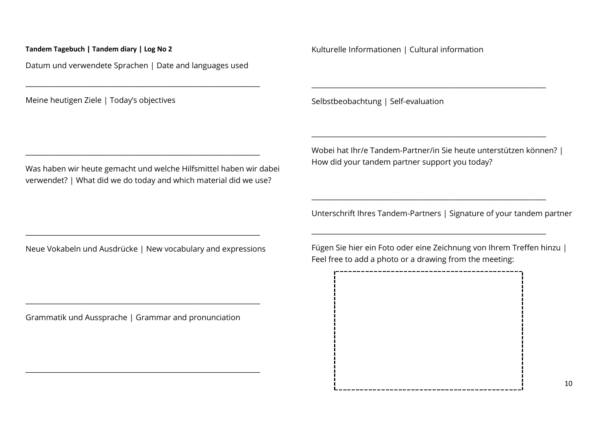Datum und verwendete Sprachen | Date and languages used

\_\_\_\_\_\_\_\_\_\_\_\_\_\_\_\_\_\_\_\_\_\_\_\_\_\_\_\_\_\_\_\_\_\_\_\_\_\_\_\_\_\_\_\_\_\_\_\_\_\_\_\_\_\_\_\_\_\_\_\_\_\_\_\_\_\_\_

\_\_\_\_\_\_\_\_\_\_\_\_\_\_\_\_\_\_\_\_\_\_\_\_\_\_\_\_\_\_\_\_\_\_\_\_\_\_\_\_\_\_\_\_\_\_\_\_\_\_\_\_\_\_\_\_\_\_\_\_\_\_\_\_\_\_\_

Meine heutigen Ziele | Today's objectives

Was haben wir heute gemacht und welche Hilfsmittel haben wir dabei verwendet? | What did we do today and which material did we use?

Kulturelle Informationen | Cultural information

Selbstbeobachtung | Self-evaluation

Wobei hat Ihr/e Tandem-Partner/in Sie heute unterstützen können? | How did your tandem partner support you today?

\_\_\_\_\_\_\_\_\_\_\_\_\_\_\_\_\_\_\_\_\_\_\_\_\_\_\_\_\_\_\_\_\_\_\_\_\_\_\_\_\_\_\_\_\_\_\_\_\_\_\_\_\_\_\_\_\_\_\_\_\_\_\_\_\_\_\_

\_\_\_\_\_\_\_\_\_\_\_\_\_\_\_\_\_\_\_\_\_\_\_\_\_\_\_\_\_\_\_\_\_\_\_\_\_\_\_\_\_\_\_\_\_\_\_\_\_\_\_\_\_\_\_\_\_\_\_\_\_\_\_\_\_\_\_

\_\_\_\_\_\_\_\_\_\_\_\_\_\_\_\_\_\_\_\_\_\_\_\_\_\_\_\_\_\_\_\_\_\_\_\_\_\_\_\_\_\_\_\_\_\_\_\_\_\_\_\_\_\_\_\_\_\_\_\_\_\_\_\_\_\_\_

\_\_\_\_\_\_\_\_\_\_\_\_\_\_\_\_\_\_\_\_\_\_\_\_\_\_\_\_\_\_\_\_\_\_\_\_\_\_\_\_\_\_\_\_\_\_\_\_\_\_\_\_\_\_\_\_\_\_\_\_\_\_\_\_\_\_\_

Unterschrift Ihres Tandem-Partners | Signature of your tandem partner

Neue Vokabeln und Ausdrücke | New vocabulary and expressions

\_\_\_\_\_\_\_\_\_\_\_\_\_\_\_\_\_\_\_\_\_\_\_\_\_\_\_\_\_\_\_\_\_\_\_\_\_\_\_\_\_\_\_\_\_\_\_\_\_\_\_\_\_\_\_\_\_\_\_\_\_\_\_\_\_\_\_

Grammatik und Aussprache | Grammar and pronunciation

\_\_\_\_\_\_\_\_\_\_\_\_\_\_\_\_\_\_\_\_\_\_\_\_\_\_\_\_\_\_\_\_\_\_\_\_\_\_\_\_\_\_\_\_\_\_\_\_\_\_\_\_\_\_\_\_\_\_\_\_\_\_\_\_\_\_\_

\_\_\_\_\_\_\_\_\_\_\_\_\_\_\_\_\_\_\_\_\_\_\_\_\_\_\_\_\_\_\_\_\_\_\_\_\_\_\_\_\_\_\_\_\_\_\_\_\_\_\_\_\_\_\_\_\_\_\_\_\_\_\_\_\_\_\_

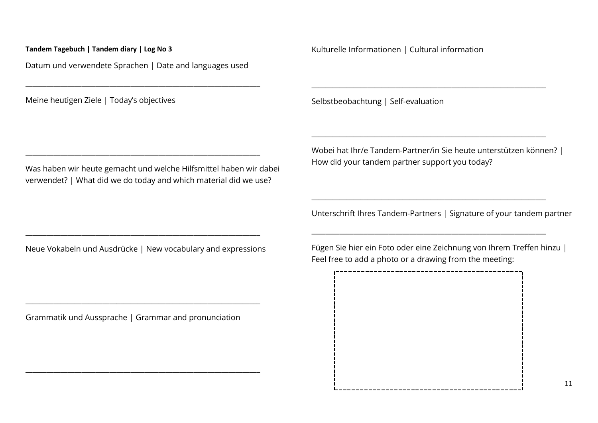Datum und verwendete Sprachen | Date and languages used

\_\_\_\_\_\_\_\_\_\_\_\_\_\_\_\_\_\_\_\_\_\_\_\_\_\_\_\_\_\_\_\_\_\_\_\_\_\_\_\_\_\_\_\_\_\_\_\_\_\_\_\_\_\_\_\_\_\_\_\_\_\_\_\_\_\_\_

\_\_\_\_\_\_\_\_\_\_\_\_\_\_\_\_\_\_\_\_\_\_\_\_\_\_\_\_\_\_\_\_\_\_\_\_\_\_\_\_\_\_\_\_\_\_\_\_\_\_\_\_\_\_\_\_\_\_\_\_\_\_\_\_\_\_\_

Meine heutigen Ziele | Today's objectives

Was haben wir heute gemacht und welche Hilfsmittel haben wir dabei verwendet? | What did we do today and which material did we use?

Kulturelle Informationen | Cultural information

Selbstbeobachtung | Self-evaluation

Wobei hat Ihr/e Tandem-Partner/in Sie heute unterstützen können? | How did your tandem partner support you today?

\_\_\_\_\_\_\_\_\_\_\_\_\_\_\_\_\_\_\_\_\_\_\_\_\_\_\_\_\_\_\_\_\_\_\_\_\_\_\_\_\_\_\_\_\_\_\_\_\_\_\_\_\_\_\_\_\_\_\_\_\_\_\_\_\_\_\_

\_\_\_\_\_\_\_\_\_\_\_\_\_\_\_\_\_\_\_\_\_\_\_\_\_\_\_\_\_\_\_\_\_\_\_\_\_\_\_\_\_\_\_\_\_\_\_\_\_\_\_\_\_\_\_\_\_\_\_\_\_\_\_\_\_\_\_

\_\_\_\_\_\_\_\_\_\_\_\_\_\_\_\_\_\_\_\_\_\_\_\_\_\_\_\_\_\_\_\_\_\_\_\_\_\_\_\_\_\_\_\_\_\_\_\_\_\_\_\_\_\_\_\_\_\_\_\_\_\_\_\_\_\_\_

\_\_\_\_\_\_\_\_\_\_\_\_\_\_\_\_\_\_\_\_\_\_\_\_\_\_\_\_\_\_\_\_\_\_\_\_\_\_\_\_\_\_\_\_\_\_\_\_\_\_\_\_\_\_\_\_\_\_\_\_\_\_\_\_\_\_\_

Unterschrift Ihres Tandem-Partners | Signature of your tandem partner

Neue Vokabeln und Ausdrücke | New vocabulary and expressions

\_\_\_\_\_\_\_\_\_\_\_\_\_\_\_\_\_\_\_\_\_\_\_\_\_\_\_\_\_\_\_\_\_\_\_\_\_\_\_\_\_\_\_\_\_\_\_\_\_\_\_\_\_\_\_\_\_\_\_\_\_\_\_\_\_\_\_

Grammatik und Aussprache | Grammar and pronunciation

\_\_\_\_\_\_\_\_\_\_\_\_\_\_\_\_\_\_\_\_\_\_\_\_\_\_\_\_\_\_\_\_\_\_\_\_\_\_\_\_\_\_\_\_\_\_\_\_\_\_\_\_\_\_\_\_\_\_\_\_\_\_\_\_\_\_\_

\_\_\_\_\_\_\_\_\_\_\_\_\_\_\_\_\_\_\_\_\_\_\_\_\_\_\_\_\_\_\_\_\_\_\_\_\_\_\_\_\_\_\_\_\_\_\_\_\_\_\_\_\_\_\_\_\_\_\_\_\_\_\_\_\_\_\_

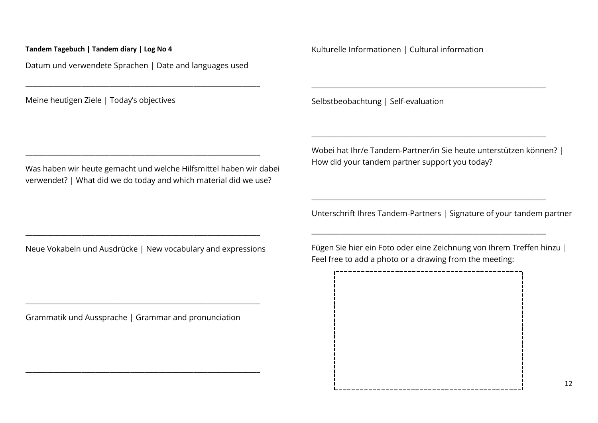Datum und verwendete Sprachen | Date and languages used

\_\_\_\_\_\_\_\_\_\_\_\_\_\_\_\_\_\_\_\_\_\_\_\_\_\_\_\_\_\_\_\_\_\_\_\_\_\_\_\_\_\_\_\_\_\_\_\_\_\_\_\_\_\_\_\_\_\_\_\_\_\_\_\_\_\_\_

\_\_\_\_\_\_\_\_\_\_\_\_\_\_\_\_\_\_\_\_\_\_\_\_\_\_\_\_\_\_\_\_\_\_\_\_\_\_\_\_\_\_\_\_\_\_\_\_\_\_\_\_\_\_\_\_\_\_\_\_\_\_\_\_\_\_\_

Meine heutigen Ziele | Today's objectives

Was haben wir heute gemacht und welche Hilfsmittel haben wir dabei verwendet? | What did we do today and which material did we use?

Kulturelle Informationen | Cultural information

Selbstbeobachtung | Self-evaluation

Wobei hat Ihr/e Tandem-Partner/in Sie heute unterstützen können? | How did your tandem partner support you today?

\_\_\_\_\_\_\_\_\_\_\_\_\_\_\_\_\_\_\_\_\_\_\_\_\_\_\_\_\_\_\_\_\_\_\_\_\_\_\_\_\_\_\_\_\_\_\_\_\_\_\_\_\_\_\_\_\_\_\_\_\_\_\_\_\_\_\_

\_\_\_\_\_\_\_\_\_\_\_\_\_\_\_\_\_\_\_\_\_\_\_\_\_\_\_\_\_\_\_\_\_\_\_\_\_\_\_\_\_\_\_\_\_\_\_\_\_\_\_\_\_\_\_\_\_\_\_\_\_\_\_\_\_\_\_

\_\_\_\_\_\_\_\_\_\_\_\_\_\_\_\_\_\_\_\_\_\_\_\_\_\_\_\_\_\_\_\_\_\_\_\_\_\_\_\_\_\_\_\_\_\_\_\_\_\_\_\_\_\_\_\_\_\_\_\_\_\_\_\_\_\_\_

\_\_\_\_\_\_\_\_\_\_\_\_\_\_\_\_\_\_\_\_\_\_\_\_\_\_\_\_\_\_\_\_\_\_\_\_\_\_\_\_\_\_\_\_\_\_\_\_\_\_\_\_\_\_\_\_\_\_\_\_\_\_\_\_\_\_\_

Unterschrift Ihres Tandem-Partners | Signature of your tandem partner

Neue Vokabeln und Ausdrücke | New vocabulary and expressions

\_\_\_\_\_\_\_\_\_\_\_\_\_\_\_\_\_\_\_\_\_\_\_\_\_\_\_\_\_\_\_\_\_\_\_\_\_\_\_\_\_\_\_\_\_\_\_\_\_\_\_\_\_\_\_\_\_\_\_\_\_\_\_\_\_\_\_

Grammatik und Aussprache | Grammar and pronunciation

\_\_\_\_\_\_\_\_\_\_\_\_\_\_\_\_\_\_\_\_\_\_\_\_\_\_\_\_\_\_\_\_\_\_\_\_\_\_\_\_\_\_\_\_\_\_\_\_\_\_\_\_\_\_\_\_\_\_\_\_\_\_\_\_\_\_\_

\_\_\_\_\_\_\_\_\_\_\_\_\_\_\_\_\_\_\_\_\_\_\_\_\_\_\_\_\_\_\_\_\_\_\_\_\_\_\_\_\_\_\_\_\_\_\_\_\_\_\_\_\_\_\_\_\_\_\_\_\_\_\_\_\_\_\_

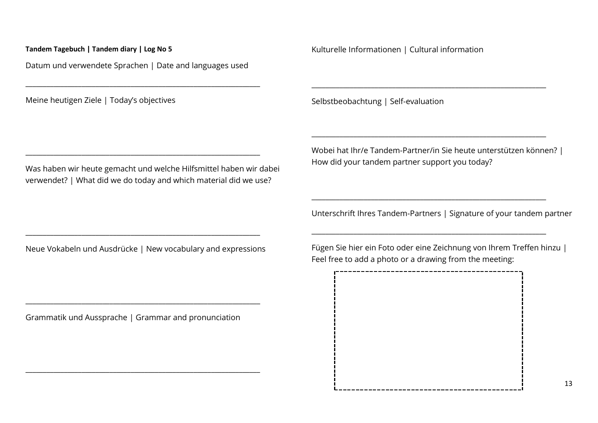Datum und verwendete Sprachen | Date and languages used

\_\_\_\_\_\_\_\_\_\_\_\_\_\_\_\_\_\_\_\_\_\_\_\_\_\_\_\_\_\_\_\_\_\_\_\_\_\_\_\_\_\_\_\_\_\_\_\_\_\_\_\_\_\_\_\_\_\_\_\_\_\_\_\_\_\_\_

\_\_\_\_\_\_\_\_\_\_\_\_\_\_\_\_\_\_\_\_\_\_\_\_\_\_\_\_\_\_\_\_\_\_\_\_\_\_\_\_\_\_\_\_\_\_\_\_\_\_\_\_\_\_\_\_\_\_\_\_\_\_\_\_\_\_\_

Meine heutigen Ziele | Today's objectives

Was haben wir heute gemacht und welche Hilfsmittel haben wir dabei verwendet? | What did we do today and which material did we use?

Kulturelle Informationen | Cultural information

Selbstbeobachtung | Self-evaluation

Wobei hat Ihr/e Tandem-Partner/in Sie heute unterstützen können? | How did your tandem partner support you today?

\_\_\_\_\_\_\_\_\_\_\_\_\_\_\_\_\_\_\_\_\_\_\_\_\_\_\_\_\_\_\_\_\_\_\_\_\_\_\_\_\_\_\_\_\_\_\_\_\_\_\_\_\_\_\_\_\_\_\_\_\_\_\_\_\_\_\_

\_\_\_\_\_\_\_\_\_\_\_\_\_\_\_\_\_\_\_\_\_\_\_\_\_\_\_\_\_\_\_\_\_\_\_\_\_\_\_\_\_\_\_\_\_\_\_\_\_\_\_\_\_\_\_\_\_\_\_\_\_\_\_\_\_\_\_

\_\_\_\_\_\_\_\_\_\_\_\_\_\_\_\_\_\_\_\_\_\_\_\_\_\_\_\_\_\_\_\_\_\_\_\_\_\_\_\_\_\_\_\_\_\_\_\_\_\_\_\_\_\_\_\_\_\_\_\_\_\_\_\_\_\_\_

\_\_\_\_\_\_\_\_\_\_\_\_\_\_\_\_\_\_\_\_\_\_\_\_\_\_\_\_\_\_\_\_\_\_\_\_\_\_\_\_\_\_\_\_\_\_\_\_\_\_\_\_\_\_\_\_\_\_\_\_\_\_\_\_\_\_\_

Unterschrift Ihres Tandem-Partners | Signature of your tandem partner

Neue Vokabeln und Ausdrücke | New vocabulary and expressions

\_\_\_\_\_\_\_\_\_\_\_\_\_\_\_\_\_\_\_\_\_\_\_\_\_\_\_\_\_\_\_\_\_\_\_\_\_\_\_\_\_\_\_\_\_\_\_\_\_\_\_\_\_\_\_\_\_\_\_\_\_\_\_\_\_\_\_

Grammatik und Aussprache | Grammar and pronunciation

\_\_\_\_\_\_\_\_\_\_\_\_\_\_\_\_\_\_\_\_\_\_\_\_\_\_\_\_\_\_\_\_\_\_\_\_\_\_\_\_\_\_\_\_\_\_\_\_\_\_\_\_\_\_\_\_\_\_\_\_\_\_\_\_\_\_\_

\_\_\_\_\_\_\_\_\_\_\_\_\_\_\_\_\_\_\_\_\_\_\_\_\_\_\_\_\_\_\_\_\_\_\_\_\_\_\_\_\_\_\_\_\_\_\_\_\_\_\_\_\_\_\_\_\_\_\_\_\_\_\_\_\_\_\_

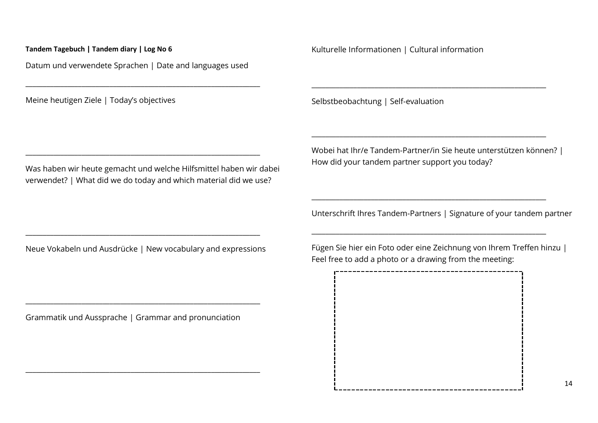Datum und verwendete Sprachen | Date and languages used

\_\_\_\_\_\_\_\_\_\_\_\_\_\_\_\_\_\_\_\_\_\_\_\_\_\_\_\_\_\_\_\_\_\_\_\_\_\_\_\_\_\_\_\_\_\_\_\_\_\_\_\_\_\_\_\_\_\_\_\_\_\_\_\_\_\_\_

\_\_\_\_\_\_\_\_\_\_\_\_\_\_\_\_\_\_\_\_\_\_\_\_\_\_\_\_\_\_\_\_\_\_\_\_\_\_\_\_\_\_\_\_\_\_\_\_\_\_\_\_\_\_\_\_\_\_\_\_\_\_\_\_\_\_\_

Meine heutigen Ziele | Today's objectives

Was haben wir heute gemacht und welche Hilfsmittel haben wir dabei verwendet? | What did we do today and which material did we use?

Kulturelle Informationen | Cultural information

Selbstbeobachtung | Self-evaluation

Wobei hat Ihr/e Tandem-Partner/in Sie heute unterstützen können? | How did your tandem partner support you today?

\_\_\_\_\_\_\_\_\_\_\_\_\_\_\_\_\_\_\_\_\_\_\_\_\_\_\_\_\_\_\_\_\_\_\_\_\_\_\_\_\_\_\_\_\_\_\_\_\_\_\_\_\_\_\_\_\_\_\_\_\_\_\_\_\_\_\_

\_\_\_\_\_\_\_\_\_\_\_\_\_\_\_\_\_\_\_\_\_\_\_\_\_\_\_\_\_\_\_\_\_\_\_\_\_\_\_\_\_\_\_\_\_\_\_\_\_\_\_\_\_\_\_\_\_\_\_\_\_\_\_\_\_\_\_

\_\_\_\_\_\_\_\_\_\_\_\_\_\_\_\_\_\_\_\_\_\_\_\_\_\_\_\_\_\_\_\_\_\_\_\_\_\_\_\_\_\_\_\_\_\_\_\_\_\_\_\_\_\_\_\_\_\_\_\_\_\_\_\_\_\_\_

\_\_\_\_\_\_\_\_\_\_\_\_\_\_\_\_\_\_\_\_\_\_\_\_\_\_\_\_\_\_\_\_\_\_\_\_\_\_\_\_\_\_\_\_\_\_\_\_\_\_\_\_\_\_\_\_\_\_\_\_\_\_\_\_\_\_\_

Unterschrift Ihres Tandem-Partners | Signature of your tandem partner

Neue Vokabeln und Ausdrücke | New vocabulary and expressions

\_\_\_\_\_\_\_\_\_\_\_\_\_\_\_\_\_\_\_\_\_\_\_\_\_\_\_\_\_\_\_\_\_\_\_\_\_\_\_\_\_\_\_\_\_\_\_\_\_\_\_\_\_\_\_\_\_\_\_\_\_\_\_\_\_\_\_

Grammatik und Aussprache | Grammar and pronunciation

\_\_\_\_\_\_\_\_\_\_\_\_\_\_\_\_\_\_\_\_\_\_\_\_\_\_\_\_\_\_\_\_\_\_\_\_\_\_\_\_\_\_\_\_\_\_\_\_\_\_\_\_\_\_\_\_\_\_\_\_\_\_\_\_\_\_\_

\_\_\_\_\_\_\_\_\_\_\_\_\_\_\_\_\_\_\_\_\_\_\_\_\_\_\_\_\_\_\_\_\_\_\_\_\_\_\_\_\_\_\_\_\_\_\_\_\_\_\_\_\_\_\_\_\_\_\_\_\_\_\_\_\_\_\_

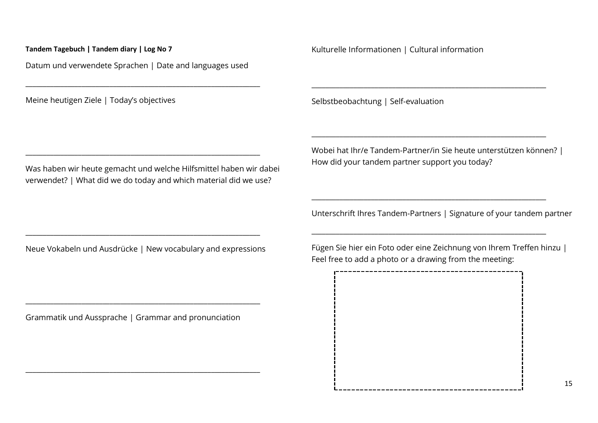Datum und verwendete Sprachen | Date and languages used

\_\_\_\_\_\_\_\_\_\_\_\_\_\_\_\_\_\_\_\_\_\_\_\_\_\_\_\_\_\_\_\_\_\_\_\_\_\_\_\_\_\_\_\_\_\_\_\_\_\_\_\_\_\_\_\_\_\_\_\_\_\_\_\_\_\_\_

\_\_\_\_\_\_\_\_\_\_\_\_\_\_\_\_\_\_\_\_\_\_\_\_\_\_\_\_\_\_\_\_\_\_\_\_\_\_\_\_\_\_\_\_\_\_\_\_\_\_\_\_\_\_\_\_\_\_\_\_\_\_\_\_\_\_\_

Meine heutigen Ziele | Today's objectives

Was haben wir heute gemacht und welche Hilfsmittel haben wir dabei verwendet? | What did we do today and which material did we use?

Kulturelle Informationen | Cultural information

Selbstbeobachtung | Self-evaluation

Wobei hat Ihr/e Tandem-Partner/in Sie heute unterstützen können? | How did your tandem partner support you today?

\_\_\_\_\_\_\_\_\_\_\_\_\_\_\_\_\_\_\_\_\_\_\_\_\_\_\_\_\_\_\_\_\_\_\_\_\_\_\_\_\_\_\_\_\_\_\_\_\_\_\_\_\_\_\_\_\_\_\_\_\_\_\_\_\_\_\_

\_\_\_\_\_\_\_\_\_\_\_\_\_\_\_\_\_\_\_\_\_\_\_\_\_\_\_\_\_\_\_\_\_\_\_\_\_\_\_\_\_\_\_\_\_\_\_\_\_\_\_\_\_\_\_\_\_\_\_\_\_\_\_\_\_\_\_

\_\_\_\_\_\_\_\_\_\_\_\_\_\_\_\_\_\_\_\_\_\_\_\_\_\_\_\_\_\_\_\_\_\_\_\_\_\_\_\_\_\_\_\_\_\_\_\_\_\_\_\_\_\_\_\_\_\_\_\_\_\_\_\_\_\_\_

\_\_\_\_\_\_\_\_\_\_\_\_\_\_\_\_\_\_\_\_\_\_\_\_\_\_\_\_\_\_\_\_\_\_\_\_\_\_\_\_\_\_\_\_\_\_\_\_\_\_\_\_\_\_\_\_\_\_\_\_\_\_\_\_\_\_\_

Unterschrift Ihres Tandem-Partners | Signature of your tandem partner

Neue Vokabeln und Ausdrücke | New vocabulary and expressions

\_\_\_\_\_\_\_\_\_\_\_\_\_\_\_\_\_\_\_\_\_\_\_\_\_\_\_\_\_\_\_\_\_\_\_\_\_\_\_\_\_\_\_\_\_\_\_\_\_\_\_\_\_\_\_\_\_\_\_\_\_\_\_\_\_\_\_

Grammatik und Aussprache | Grammar and pronunciation

\_\_\_\_\_\_\_\_\_\_\_\_\_\_\_\_\_\_\_\_\_\_\_\_\_\_\_\_\_\_\_\_\_\_\_\_\_\_\_\_\_\_\_\_\_\_\_\_\_\_\_\_\_\_\_\_\_\_\_\_\_\_\_\_\_\_\_

\_\_\_\_\_\_\_\_\_\_\_\_\_\_\_\_\_\_\_\_\_\_\_\_\_\_\_\_\_\_\_\_\_\_\_\_\_\_\_\_\_\_\_\_\_\_\_\_\_\_\_\_\_\_\_\_\_\_\_\_\_\_\_\_\_\_\_

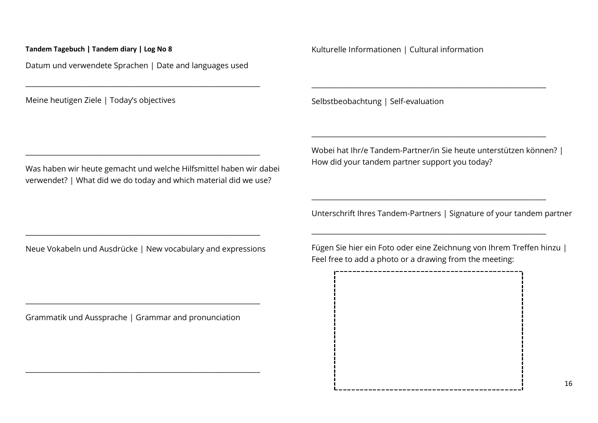Datum und verwendete Sprachen | Date and languages used

\_\_\_\_\_\_\_\_\_\_\_\_\_\_\_\_\_\_\_\_\_\_\_\_\_\_\_\_\_\_\_\_\_\_\_\_\_\_\_\_\_\_\_\_\_\_\_\_\_\_\_\_\_\_\_\_\_\_\_\_\_\_\_\_\_\_\_

\_\_\_\_\_\_\_\_\_\_\_\_\_\_\_\_\_\_\_\_\_\_\_\_\_\_\_\_\_\_\_\_\_\_\_\_\_\_\_\_\_\_\_\_\_\_\_\_\_\_\_\_\_\_\_\_\_\_\_\_\_\_\_\_\_\_\_

Meine heutigen Ziele | Today's objectives

Was haben wir heute gemacht und welche Hilfsmittel haben wir dabei verwendet? | What did we do today and which material did we use?

Kulturelle Informationen | Cultural information

Selbstbeobachtung | Self-evaluation

Wobei hat Ihr/e Tandem-Partner/in Sie heute unterstützen können? | How did your tandem partner support you today?

\_\_\_\_\_\_\_\_\_\_\_\_\_\_\_\_\_\_\_\_\_\_\_\_\_\_\_\_\_\_\_\_\_\_\_\_\_\_\_\_\_\_\_\_\_\_\_\_\_\_\_\_\_\_\_\_\_\_\_\_\_\_\_\_\_\_\_

\_\_\_\_\_\_\_\_\_\_\_\_\_\_\_\_\_\_\_\_\_\_\_\_\_\_\_\_\_\_\_\_\_\_\_\_\_\_\_\_\_\_\_\_\_\_\_\_\_\_\_\_\_\_\_\_\_\_\_\_\_\_\_\_\_\_\_

\_\_\_\_\_\_\_\_\_\_\_\_\_\_\_\_\_\_\_\_\_\_\_\_\_\_\_\_\_\_\_\_\_\_\_\_\_\_\_\_\_\_\_\_\_\_\_\_\_\_\_\_\_\_\_\_\_\_\_\_\_\_\_\_\_\_\_

\_\_\_\_\_\_\_\_\_\_\_\_\_\_\_\_\_\_\_\_\_\_\_\_\_\_\_\_\_\_\_\_\_\_\_\_\_\_\_\_\_\_\_\_\_\_\_\_\_\_\_\_\_\_\_\_\_\_\_\_\_\_\_\_\_\_\_

Unterschrift Ihres Tandem-Partners | Signature of your tandem partner

Neue Vokabeln und Ausdrücke | New vocabulary and expressions

\_\_\_\_\_\_\_\_\_\_\_\_\_\_\_\_\_\_\_\_\_\_\_\_\_\_\_\_\_\_\_\_\_\_\_\_\_\_\_\_\_\_\_\_\_\_\_\_\_\_\_\_\_\_\_\_\_\_\_\_\_\_\_\_\_\_\_

Grammatik und Aussprache | Grammar and pronunciation

\_\_\_\_\_\_\_\_\_\_\_\_\_\_\_\_\_\_\_\_\_\_\_\_\_\_\_\_\_\_\_\_\_\_\_\_\_\_\_\_\_\_\_\_\_\_\_\_\_\_\_\_\_\_\_\_\_\_\_\_\_\_\_\_\_\_\_

\_\_\_\_\_\_\_\_\_\_\_\_\_\_\_\_\_\_\_\_\_\_\_\_\_\_\_\_\_\_\_\_\_\_\_\_\_\_\_\_\_\_\_\_\_\_\_\_\_\_\_\_\_\_\_\_\_\_\_\_\_\_\_\_\_\_\_

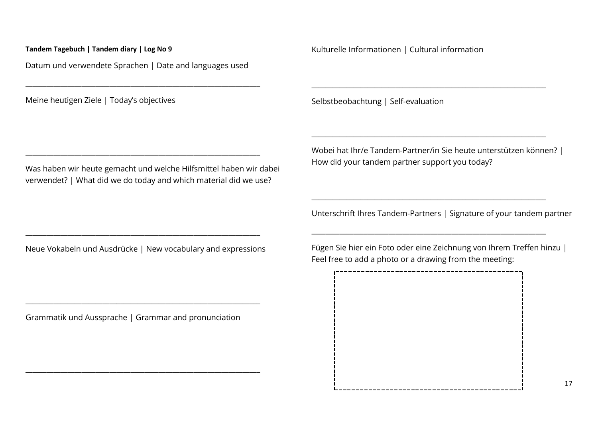Datum und verwendete Sprachen | Date and languages used

\_\_\_\_\_\_\_\_\_\_\_\_\_\_\_\_\_\_\_\_\_\_\_\_\_\_\_\_\_\_\_\_\_\_\_\_\_\_\_\_\_\_\_\_\_\_\_\_\_\_\_\_\_\_\_\_\_\_\_\_\_\_\_\_\_\_\_

\_\_\_\_\_\_\_\_\_\_\_\_\_\_\_\_\_\_\_\_\_\_\_\_\_\_\_\_\_\_\_\_\_\_\_\_\_\_\_\_\_\_\_\_\_\_\_\_\_\_\_\_\_\_\_\_\_\_\_\_\_\_\_\_\_\_\_

Meine heutigen Ziele | Today's objectives

Was haben wir heute gemacht und welche Hilfsmittel haben wir dabei verwendet? | What did we do today and which material did we use?

Kulturelle Informationen | Cultural information

Selbstbeobachtung | Self-evaluation

Wobei hat Ihr/e Tandem-Partner/in Sie heute unterstützen können? | How did your tandem partner support you today?

\_\_\_\_\_\_\_\_\_\_\_\_\_\_\_\_\_\_\_\_\_\_\_\_\_\_\_\_\_\_\_\_\_\_\_\_\_\_\_\_\_\_\_\_\_\_\_\_\_\_\_\_\_\_\_\_\_\_\_\_\_\_\_\_\_\_\_

\_\_\_\_\_\_\_\_\_\_\_\_\_\_\_\_\_\_\_\_\_\_\_\_\_\_\_\_\_\_\_\_\_\_\_\_\_\_\_\_\_\_\_\_\_\_\_\_\_\_\_\_\_\_\_\_\_\_\_\_\_\_\_\_\_\_\_

\_\_\_\_\_\_\_\_\_\_\_\_\_\_\_\_\_\_\_\_\_\_\_\_\_\_\_\_\_\_\_\_\_\_\_\_\_\_\_\_\_\_\_\_\_\_\_\_\_\_\_\_\_\_\_\_\_\_\_\_\_\_\_\_\_\_\_

\_\_\_\_\_\_\_\_\_\_\_\_\_\_\_\_\_\_\_\_\_\_\_\_\_\_\_\_\_\_\_\_\_\_\_\_\_\_\_\_\_\_\_\_\_\_\_\_\_\_\_\_\_\_\_\_\_\_\_\_\_\_\_\_\_\_\_

Unterschrift Ihres Tandem-Partners | Signature of your tandem partner

Neue Vokabeln und Ausdrücke | New vocabulary and expressions

\_\_\_\_\_\_\_\_\_\_\_\_\_\_\_\_\_\_\_\_\_\_\_\_\_\_\_\_\_\_\_\_\_\_\_\_\_\_\_\_\_\_\_\_\_\_\_\_\_\_\_\_\_\_\_\_\_\_\_\_\_\_\_\_\_\_\_

Grammatik und Aussprache | Grammar and pronunciation

\_\_\_\_\_\_\_\_\_\_\_\_\_\_\_\_\_\_\_\_\_\_\_\_\_\_\_\_\_\_\_\_\_\_\_\_\_\_\_\_\_\_\_\_\_\_\_\_\_\_\_\_\_\_\_\_\_\_\_\_\_\_\_\_\_\_\_

\_\_\_\_\_\_\_\_\_\_\_\_\_\_\_\_\_\_\_\_\_\_\_\_\_\_\_\_\_\_\_\_\_\_\_\_\_\_\_\_\_\_\_\_\_\_\_\_\_\_\_\_\_\_\_\_\_\_\_\_\_\_\_\_\_\_\_

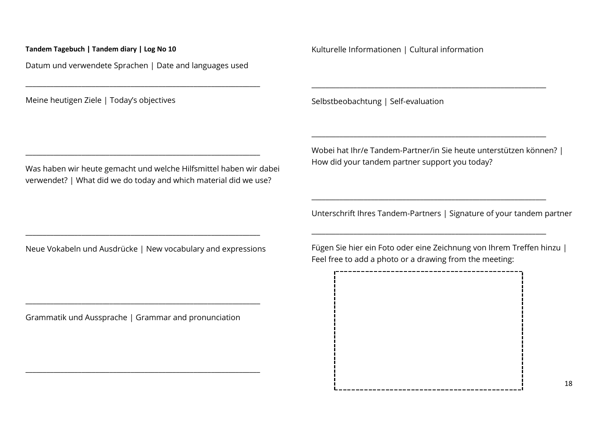Datum und verwendete Sprachen | Date and languages used

\_\_\_\_\_\_\_\_\_\_\_\_\_\_\_\_\_\_\_\_\_\_\_\_\_\_\_\_\_\_\_\_\_\_\_\_\_\_\_\_\_\_\_\_\_\_\_\_\_\_\_\_\_\_\_\_\_\_\_\_\_\_\_\_\_\_\_

\_\_\_\_\_\_\_\_\_\_\_\_\_\_\_\_\_\_\_\_\_\_\_\_\_\_\_\_\_\_\_\_\_\_\_\_\_\_\_\_\_\_\_\_\_\_\_\_\_\_\_\_\_\_\_\_\_\_\_\_\_\_\_\_\_\_\_

Meine heutigen Ziele | Today's objectives

Was haben wir heute gemacht und welche Hilfsmittel haben wir dabei verwendet? | What did we do today and which material did we use?

Kulturelle Informationen | Cultural information

Selbstbeobachtung | Self-evaluation

Wobei hat Ihr/e Tandem-Partner/in Sie heute unterstützen können? | How did your tandem partner support you today?

\_\_\_\_\_\_\_\_\_\_\_\_\_\_\_\_\_\_\_\_\_\_\_\_\_\_\_\_\_\_\_\_\_\_\_\_\_\_\_\_\_\_\_\_\_\_\_\_\_\_\_\_\_\_\_\_\_\_\_\_\_\_\_\_\_\_\_

\_\_\_\_\_\_\_\_\_\_\_\_\_\_\_\_\_\_\_\_\_\_\_\_\_\_\_\_\_\_\_\_\_\_\_\_\_\_\_\_\_\_\_\_\_\_\_\_\_\_\_\_\_\_\_\_\_\_\_\_\_\_\_\_\_\_\_

\_\_\_\_\_\_\_\_\_\_\_\_\_\_\_\_\_\_\_\_\_\_\_\_\_\_\_\_\_\_\_\_\_\_\_\_\_\_\_\_\_\_\_\_\_\_\_\_\_\_\_\_\_\_\_\_\_\_\_\_\_\_\_\_\_\_\_

\_\_\_\_\_\_\_\_\_\_\_\_\_\_\_\_\_\_\_\_\_\_\_\_\_\_\_\_\_\_\_\_\_\_\_\_\_\_\_\_\_\_\_\_\_\_\_\_\_\_\_\_\_\_\_\_\_\_\_\_\_\_\_\_\_\_\_

Unterschrift Ihres Tandem-Partners | Signature of your tandem partner

Neue Vokabeln und Ausdrücke | New vocabulary and expressions

\_\_\_\_\_\_\_\_\_\_\_\_\_\_\_\_\_\_\_\_\_\_\_\_\_\_\_\_\_\_\_\_\_\_\_\_\_\_\_\_\_\_\_\_\_\_\_\_\_\_\_\_\_\_\_\_\_\_\_\_\_\_\_\_\_\_\_

Grammatik und Aussprache | Grammar and pronunciation

\_\_\_\_\_\_\_\_\_\_\_\_\_\_\_\_\_\_\_\_\_\_\_\_\_\_\_\_\_\_\_\_\_\_\_\_\_\_\_\_\_\_\_\_\_\_\_\_\_\_\_\_\_\_\_\_\_\_\_\_\_\_\_\_\_\_\_

\_\_\_\_\_\_\_\_\_\_\_\_\_\_\_\_\_\_\_\_\_\_\_\_\_\_\_\_\_\_\_\_\_\_\_\_\_\_\_\_\_\_\_\_\_\_\_\_\_\_\_\_\_\_\_\_\_\_\_\_\_\_\_\_\_\_\_

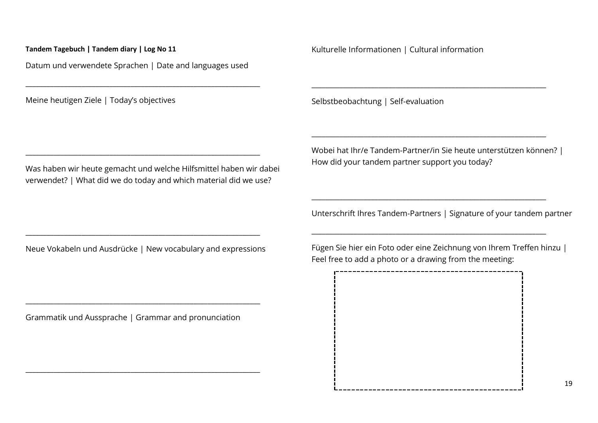Datum und verwendete Sprachen | Date and languages used

\_\_\_\_\_\_\_\_\_\_\_\_\_\_\_\_\_\_\_\_\_\_\_\_\_\_\_\_\_\_\_\_\_\_\_\_\_\_\_\_\_\_\_\_\_\_\_\_\_\_\_\_\_\_\_\_\_\_\_\_\_\_\_\_\_\_\_

\_\_\_\_\_\_\_\_\_\_\_\_\_\_\_\_\_\_\_\_\_\_\_\_\_\_\_\_\_\_\_\_\_\_\_\_\_\_\_\_\_\_\_\_\_\_\_\_\_\_\_\_\_\_\_\_\_\_\_\_\_\_\_\_\_\_\_

Meine heutigen Ziele | Today's objectives

Was haben wir heute gemacht und welche Hilfsmittel haben wir dabei verwendet? | What did we do today and which material did we use?

Kulturelle Informationen | Cultural information

Selbstbeobachtung | Self-evaluation

Wobei hat Ihr/e Tandem-Partner/in Sie heute unterstützen können? | How did your tandem partner support you today?

\_\_\_\_\_\_\_\_\_\_\_\_\_\_\_\_\_\_\_\_\_\_\_\_\_\_\_\_\_\_\_\_\_\_\_\_\_\_\_\_\_\_\_\_\_\_\_\_\_\_\_\_\_\_\_\_\_\_\_\_\_\_\_\_\_\_\_

\_\_\_\_\_\_\_\_\_\_\_\_\_\_\_\_\_\_\_\_\_\_\_\_\_\_\_\_\_\_\_\_\_\_\_\_\_\_\_\_\_\_\_\_\_\_\_\_\_\_\_\_\_\_\_\_\_\_\_\_\_\_\_\_\_\_\_

\_\_\_\_\_\_\_\_\_\_\_\_\_\_\_\_\_\_\_\_\_\_\_\_\_\_\_\_\_\_\_\_\_\_\_\_\_\_\_\_\_\_\_\_\_\_\_\_\_\_\_\_\_\_\_\_\_\_\_\_\_\_\_\_\_\_\_

\_\_\_\_\_\_\_\_\_\_\_\_\_\_\_\_\_\_\_\_\_\_\_\_\_\_\_\_\_\_\_\_\_\_\_\_\_\_\_\_\_\_\_\_\_\_\_\_\_\_\_\_\_\_\_\_\_\_\_\_\_\_\_\_\_\_\_

Unterschrift Ihres Tandem-Partners | Signature of your tandem partner

Neue Vokabeln und Ausdrücke | New vocabulary and expressions

\_\_\_\_\_\_\_\_\_\_\_\_\_\_\_\_\_\_\_\_\_\_\_\_\_\_\_\_\_\_\_\_\_\_\_\_\_\_\_\_\_\_\_\_\_\_\_\_\_\_\_\_\_\_\_\_\_\_\_\_\_\_\_\_\_\_\_

Grammatik und Aussprache | Grammar and pronunciation

\_\_\_\_\_\_\_\_\_\_\_\_\_\_\_\_\_\_\_\_\_\_\_\_\_\_\_\_\_\_\_\_\_\_\_\_\_\_\_\_\_\_\_\_\_\_\_\_\_\_\_\_\_\_\_\_\_\_\_\_\_\_\_\_\_\_\_

\_\_\_\_\_\_\_\_\_\_\_\_\_\_\_\_\_\_\_\_\_\_\_\_\_\_\_\_\_\_\_\_\_\_\_\_\_\_\_\_\_\_\_\_\_\_\_\_\_\_\_\_\_\_\_\_\_\_\_\_\_\_\_\_\_\_\_

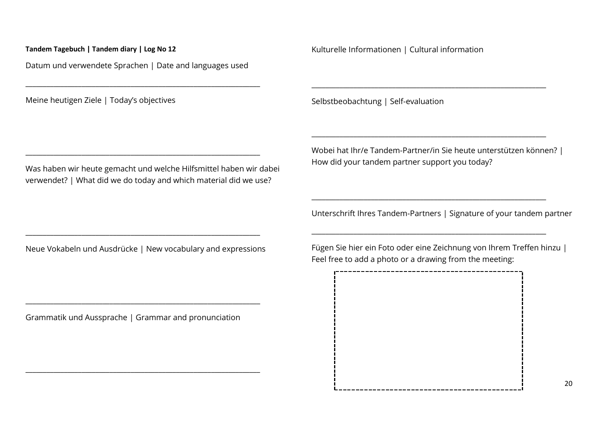Datum und verwendete Sprachen | Date and languages used

\_\_\_\_\_\_\_\_\_\_\_\_\_\_\_\_\_\_\_\_\_\_\_\_\_\_\_\_\_\_\_\_\_\_\_\_\_\_\_\_\_\_\_\_\_\_\_\_\_\_\_\_\_\_\_\_\_\_\_\_\_\_\_\_\_\_\_

\_\_\_\_\_\_\_\_\_\_\_\_\_\_\_\_\_\_\_\_\_\_\_\_\_\_\_\_\_\_\_\_\_\_\_\_\_\_\_\_\_\_\_\_\_\_\_\_\_\_\_\_\_\_\_\_\_\_\_\_\_\_\_\_\_\_\_

Meine heutigen Ziele | Today's objectives

Was haben wir heute gemacht und welche Hilfsmittel haben wir dabei verwendet? | What did we do today and which material did we use?

Kulturelle Informationen | Cultural information

Selbstbeobachtung | Self-evaluation

Wobei hat Ihr/e Tandem-Partner/in Sie heute unterstützen können? | How did your tandem partner support you today?

\_\_\_\_\_\_\_\_\_\_\_\_\_\_\_\_\_\_\_\_\_\_\_\_\_\_\_\_\_\_\_\_\_\_\_\_\_\_\_\_\_\_\_\_\_\_\_\_\_\_\_\_\_\_\_\_\_\_\_\_\_\_\_\_\_\_\_

\_\_\_\_\_\_\_\_\_\_\_\_\_\_\_\_\_\_\_\_\_\_\_\_\_\_\_\_\_\_\_\_\_\_\_\_\_\_\_\_\_\_\_\_\_\_\_\_\_\_\_\_\_\_\_\_\_\_\_\_\_\_\_\_\_\_\_

\_\_\_\_\_\_\_\_\_\_\_\_\_\_\_\_\_\_\_\_\_\_\_\_\_\_\_\_\_\_\_\_\_\_\_\_\_\_\_\_\_\_\_\_\_\_\_\_\_\_\_\_\_\_\_\_\_\_\_\_\_\_\_\_\_\_\_

\_\_\_\_\_\_\_\_\_\_\_\_\_\_\_\_\_\_\_\_\_\_\_\_\_\_\_\_\_\_\_\_\_\_\_\_\_\_\_\_\_\_\_\_\_\_\_\_\_\_\_\_\_\_\_\_\_\_\_\_\_\_\_\_\_\_\_

Unterschrift Ihres Tandem-Partners | Signature of your tandem partner

Neue Vokabeln und Ausdrücke | New vocabulary and expressions

\_\_\_\_\_\_\_\_\_\_\_\_\_\_\_\_\_\_\_\_\_\_\_\_\_\_\_\_\_\_\_\_\_\_\_\_\_\_\_\_\_\_\_\_\_\_\_\_\_\_\_\_\_\_\_\_\_\_\_\_\_\_\_\_\_\_\_

Grammatik und Aussprache | Grammar and pronunciation

\_\_\_\_\_\_\_\_\_\_\_\_\_\_\_\_\_\_\_\_\_\_\_\_\_\_\_\_\_\_\_\_\_\_\_\_\_\_\_\_\_\_\_\_\_\_\_\_\_\_\_\_\_\_\_\_\_\_\_\_\_\_\_\_\_\_\_

\_\_\_\_\_\_\_\_\_\_\_\_\_\_\_\_\_\_\_\_\_\_\_\_\_\_\_\_\_\_\_\_\_\_\_\_\_\_\_\_\_\_\_\_\_\_\_\_\_\_\_\_\_\_\_\_\_\_\_\_\_\_\_\_\_\_\_

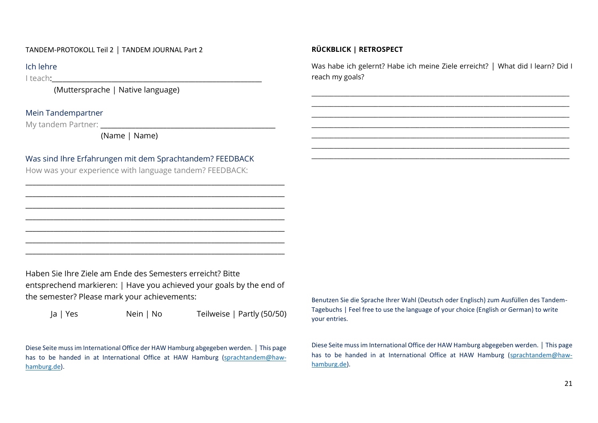### TANDEM-PROTOKOLL Teil 2 | TANDEM JOURNAL Part 2

# Ich lehre

I teach:

(Muttersprache | Native language)

## Mein Tandempartner

My tandem Partner: **We are all that the set of the set of the set of the set of the set of the set of the set of the set of the set of the set of the set of the set of the set of the set of the set of the set of the set of** 

(Name | Name)

# Was sind Ihre Erfahrungen mit dem Sprachtandem? FEEDBACK

\_\_\_\_\_\_\_\_\_\_\_\_\_\_\_\_\_\_\_\_\_\_\_\_\_\_\_\_\_\_\_\_\_\_\_\_\_\_\_\_\_\_\_\_\_\_\_\_\_\_\_\_\_\_\_\_\_\_\_\_\_\_\_\_\_\_\_\_\_\_\_\_\_\_ \_\_\_\_\_\_\_\_\_\_\_\_\_\_\_\_\_\_\_\_\_\_\_\_\_\_\_\_\_\_\_\_\_\_\_\_\_\_\_\_\_\_\_\_\_\_\_\_\_\_\_\_\_\_\_\_\_\_\_\_\_\_\_\_\_\_\_\_\_\_\_\_\_\_ \_\_\_\_\_\_\_\_\_\_\_\_\_\_\_\_\_\_\_\_\_\_\_\_\_\_\_\_\_\_\_\_\_\_\_\_\_\_\_\_\_\_\_\_\_\_\_\_\_\_\_\_\_\_\_\_\_\_\_\_\_\_\_\_\_\_\_\_\_\_\_\_\_\_ \_\_\_\_\_\_\_\_\_\_\_\_\_\_\_\_\_\_\_\_\_\_\_\_\_\_\_\_\_\_\_\_\_\_\_\_\_\_\_\_\_\_\_\_\_\_\_\_\_\_\_\_\_\_\_\_\_\_\_\_\_\_\_\_\_\_\_\_\_\_\_\_\_\_ \_\_\_\_\_\_\_\_\_\_\_\_\_\_\_\_\_\_\_\_\_\_\_\_\_\_\_\_\_\_\_\_\_\_\_\_\_\_\_\_\_\_\_\_\_\_\_\_\_\_\_\_\_\_\_\_\_\_\_\_\_\_\_\_\_\_\_\_\_\_\_\_\_\_ \_\_\_\_\_\_\_\_\_\_\_\_\_\_\_\_\_\_\_\_\_\_\_\_\_\_\_\_\_\_\_\_\_\_\_\_\_\_\_\_\_\_\_\_\_\_\_\_\_\_\_\_\_\_\_\_\_\_\_\_\_\_\_\_\_\_\_\_\_\_\_\_\_\_ \_\_\_\_\_\_\_\_\_\_\_\_\_\_\_\_\_\_\_\_\_\_\_\_\_\_\_\_\_\_\_\_\_\_\_\_\_\_\_\_\_\_\_\_\_\_\_\_\_\_\_\_\_\_\_\_\_\_\_\_\_\_\_\_\_\_\_\_\_\_\_\_\_\_

How was your experience with language tandem? FEEDBACK:

Haben Sie Ihre Ziele am Ende des Semesters erreicht? Bitte entsprechend markieren: | Have you achieved your goals by the end of the semester? Please mark your achievements:

Ja | Yes Nein | No Teilweise | Partly (50/50)

Diese Seite muss im International Office der HAW Hamburg abgegeben werden. | This page has to be handed in at International Office at HAW Hamburg [\(sprachtandem@haw](mailto:sprachtandem@haw-hamburg.de)[hamburg.de\)](mailto:sprachtandem@haw-hamburg.de).

# **RÜCKBLICK | RETROSPECT**

Was habe ich gelernt? Habe ich meine Ziele erreicht? | What did I learn? Did I reach my goals?

\_\_\_\_\_\_\_\_\_\_\_\_\_\_\_\_\_\_\_\_\_\_\_\_\_\_\_\_\_\_\_\_\_\_\_\_\_\_\_\_\_\_\_\_\_\_\_\_\_\_\_\_\_\_\_\_\_\_\_\_\_\_\_\_\_\_\_\_\_\_\_\_\_\_\_\_\_\_\_\_\_ \_\_\_\_\_\_\_\_\_\_\_\_\_\_\_\_\_\_\_\_\_\_\_\_\_\_\_\_\_\_\_\_\_\_\_\_\_\_\_\_\_\_\_\_\_\_\_\_\_\_\_\_\_\_\_\_\_\_\_\_\_\_\_\_\_\_\_\_\_\_\_\_\_\_\_\_\_\_\_\_\_ \_\_\_\_\_\_\_\_\_\_\_\_\_\_\_\_\_\_\_\_\_\_\_\_\_\_\_\_\_\_\_\_\_\_\_\_\_\_\_\_\_\_\_\_\_\_\_\_\_\_\_\_\_\_\_\_\_\_\_\_\_\_\_\_\_\_\_\_\_\_\_\_\_\_\_\_\_\_\_\_\_ \_\_\_\_\_\_\_\_\_\_\_\_\_\_\_\_\_\_\_\_\_\_\_\_\_\_\_\_\_\_\_\_\_\_\_\_\_\_\_\_\_\_\_\_\_\_\_\_\_\_\_\_\_\_\_\_\_\_\_\_\_\_\_\_\_\_\_\_\_\_\_\_\_\_\_\_\_\_\_\_\_ \_\_\_\_\_\_\_\_\_\_\_\_\_\_\_\_\_\_\_\_\_\_\_\_\_\_\_\_\_\_\_\_\_\_\_\_\_\_\_\_\_\_\_\_\_\_\_\_\_\_\_\_\_\_\_\_\_\_\_\_\_\_\_\_\_\_\_\_\_\_\_\_\_\_\_\_\_\_\_\_\_ \_\_\_\_\_\_\_\_\_\_\_\_\_\_\_\_\_\_\_\_\_\_\_\_\_\_\_\_\_\_\_\_\_\_\_\_\_\_\_\_\_\_\_\_\_\_\_\_\_\_\_\_\_\_\_\_\_\_\_\_\_\_\_\_\_\_\_\_\_\_\_\_\_\_\_\_\_\_\_\_\_ \_\_\_\_\_\_\_\_\_\_\_\_\_\_\_\_\_\_\_\_\_\_\_\_\_\_\_\_\_\_\_\_\_\_\_\_\_\_\_\_\_\_\_\_\_\_\_\_\_\_\_\_\_\_\_\_\_\_\_\_\_\_\_\_\_\_\_\_\_\_\_\_\_\_\_\_\_\_\_\_\_

Benutzen Sie die Sprache Ihrer Wahl (Deutsch oder Englisch) zum Ausfüllen des Tandem-Tagebuchs | Feel free to use the language of your choice (English or German) to write your entries.

Diese Seite muss im International Office der HAW Hamburg abgegeben werden. | This page has to be handed in at International Office at HAW Hamburg [\(sprachtandem@haw](mailto:sprachtandem@haw-hamburg.de)[hamburg.de\)](mailto:sprachtandem@haw-hamburg.de).